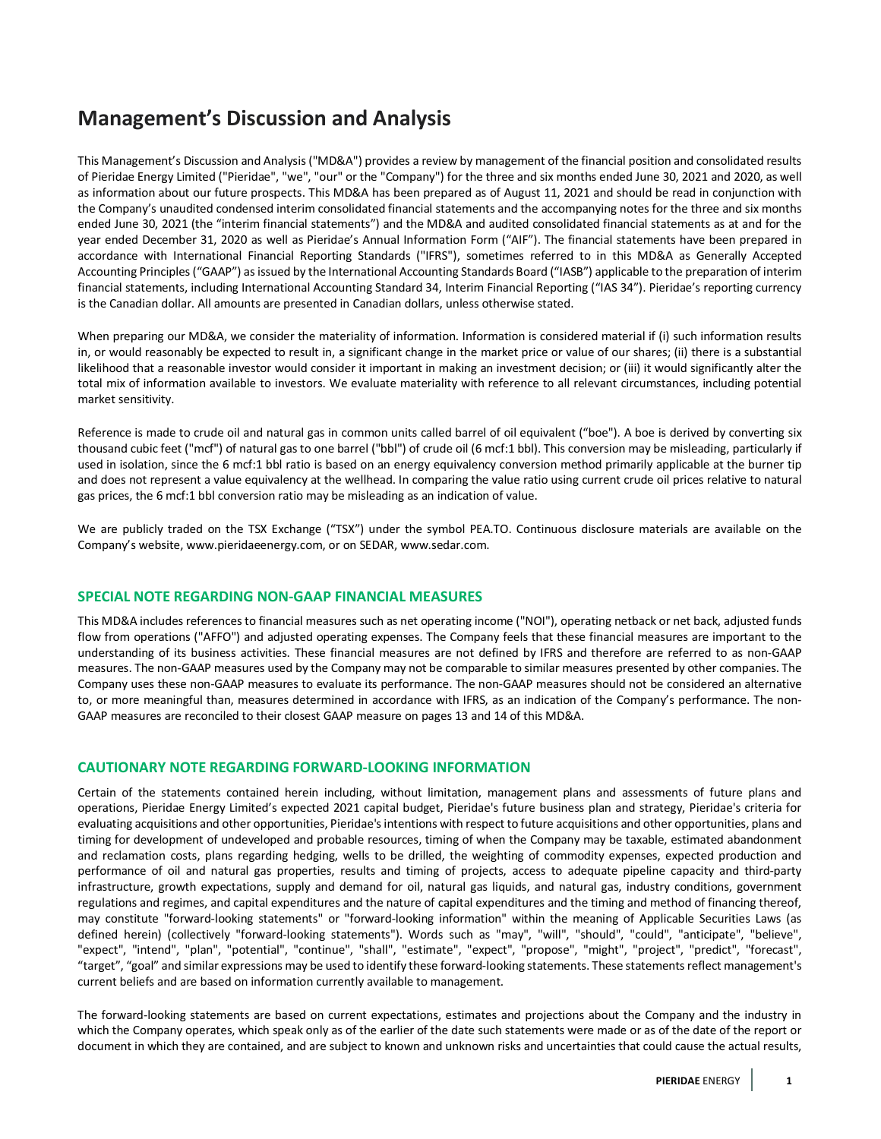# **Management's Discussion and Analysis**

This Management's Discussion and Analysis ("MD&A") provides a review by management of the financial position and consolidated results of Pieridae Energy Limited ("Pieridae", "we", "our" or the "Company") for the three and six months ended June 30, 2021 and 2020, as well as information about our future prospects. This MD&A has been prepared as of August 11, 2021 and should be read in conjunction with the Company's unaudited condensed interim consolidated financial statements and the accompanying notes for the three and six months ended June 30, 2021 (the "interim financial statements") and the MD&A and audited consolidated financial statements as at and for the year ended December 31, 2020 as well as Pieridae's Annual Information Form ("AIF"). The financial statements have been prepared in accordance with International Financial Reporting Standards ("IFRS"), sometimes referred to in this MD&A as Generally Accepted Accounting Principles ("GAAP") as issued by the International Accounting Standards Board ("IASB") applicable to the preparation of interim financial statements, including International Accounting Standard 34, Interim Financial Reporting ("IAS 34"). Pieridae's reporting currency is the Canadian dollar. All amounts are presented in Canadian dollars, unless otherwise stated.

When preparing our MD&A, we consider the materiality of information. Information is considered material if (i) such information results in, or would reasonably be expected to result in, a significant change in the market price or value of our shares; (ii) there is a substantial likelihood that a reasonable investor would consider it important in making an investment decision; or (iii) it would significantly alter the total mix of information available to investors. We evaluate materiality with reference to all relevant circumstances, including potential market sensitivity.

Reference is made to crude oil and natural gas in common units called barrel of oil equivalent ("boe"). A boe is derived by converting six thousand cubic feet ("mcf") of natural gas to one barrel ("bbl") of crude oil (6 mcf:1 bbl). This conversion may be misleading, particularly if used in isolation, since the 6 mcf:1 bbl ratio is based on an energy equivalency conversion method primarily applicable at the burner tip and does not represent a value equivalency at the wellhead. In comparing the value ratio using current crude oil prices relative to natural gas prices, the 6 mcf:1 bbl conversion ratio may be misleading as an indication of value.

We are publicly traded on the TSX Exchange ("TSX") under the symbol PEA.TO. Continuous disclosure materials are available on the Company's website[, www.pieridaeenergy.com,](http://www.pieridaeenergy.com/) or on SEDAR[, www.sedar.com.](http://www.sedar.com/)

# **SPECIAL NOTE REGARDING NON-GAAP FINANCIAL MEASURES**

This MD&A includes references to financial measures such as net operating income ("NOI"), operating netback or net back, adjusted funds flow from operations ("AFFO") and adjusted operating expenses. The Company feels that these financial measures are important to the understanding of its business activities. These financial measures are not defined by IFRS and therefore are referred to as non-GAAP measures. The non-GAAP measures used by the Company may not be comparable to similar measures presented by other companies. The Company uses these non-GAAP measures to evaluate its performance. The non-GAAP measures should not be considered an alternative to, or more meaningful than, measures determined in accordance with IFRS, as an indication of the Company's performance. The non-GAAP measures are reconciled to their closest GAAP measure on pages 13 and 14 of this MD&A.

# **CAUTIONARY NOTE REGARDING FORWARD-LOOKING INFORMATION**

Certain of the statements contained herein including, without limitation, management plans and assessments of future plans and operations, Pieridae Energy Limited's expected 2021 capital budget, Pieridae's future business plan and strategy, Pieridae's criteria for evaluating acquisitions and other opportunities, Pieridae's intentions with respect to future acquisitions and other opportunities, plans and timing for development of undeveloped and probable resources, timing of when the Company may be taxable, estimated abandonment and reclamation costs, plans regarding hedging, wells to be drilled, the weighting of commodity expenses, expected production and performance of oil and natural gas properties, results and timing of projects, access to adequate pipeline capacity and third-party infrastructure, growth expectations, supply and demand for oil, natural gas liquids, and natural gas, industry conditions, government regulations and regimes, and capital expenditures and the nature of capital expenditures and the timing and method of financing thereof, may constitute "forward-looking statements" or "forward-looking information" within the meaning of Applicable Securities Laws (as defined herein) (collectively "forward-looking statements"). Words such as "may", "will", "should", "could", "anticipate", "believe", "expect", "intend", "plan", "potential", "continue", "shall", "estimate", "expect", "propose", "might", "project", "predict", "forecast", "target", "goal" and similar expressions may be used to identify these forward-looking statements. These statements reflect management's current beliefs and are based on information currently available to management.

The forward-looking statements are based on current expectations, estimates and projections about the Company and the industry in which the Company operates, which speak only as of the earlier of the date such statements were made or as of the date of the report or document in which they are contained, and are subject to known and unknown risks and uncertainties that could cause the actual results,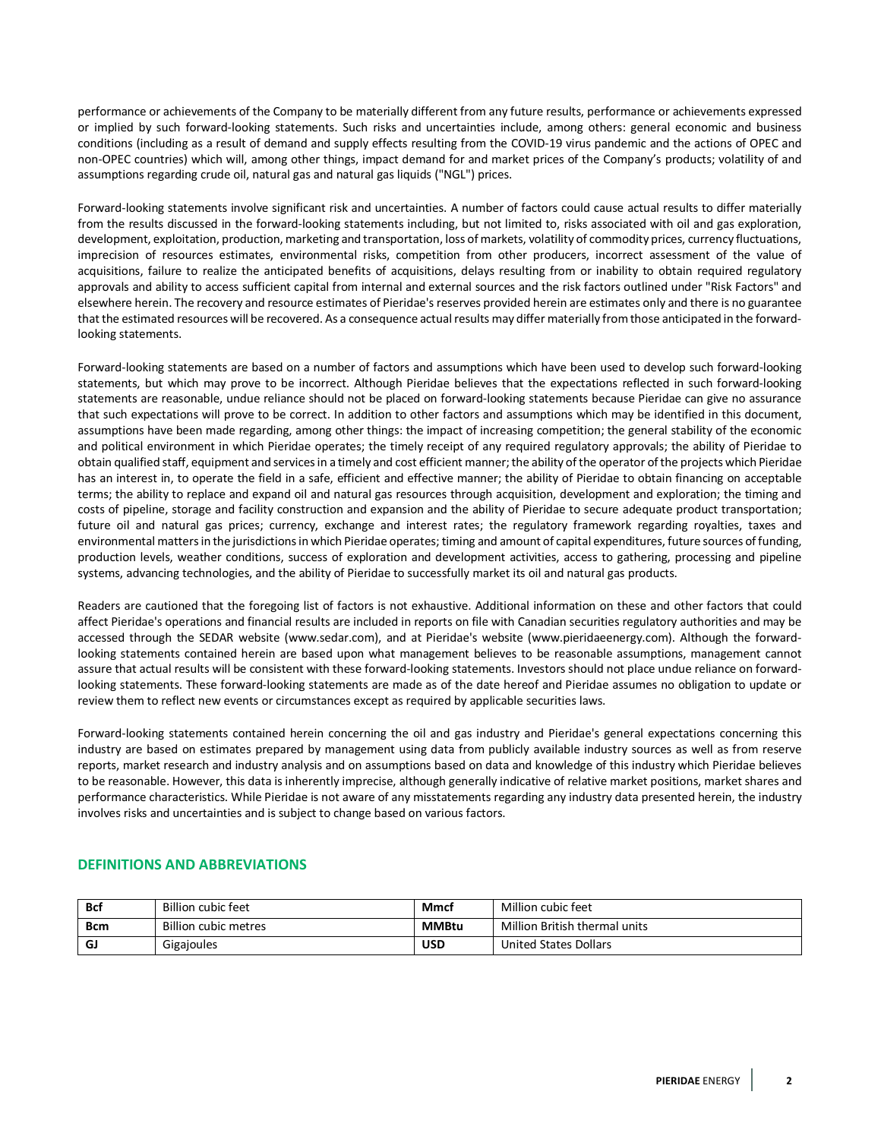performance or achievements of the Company to be materially different from any future results, performance or achievements expressed or implied by such forward-looking statements. Such risks and uncertainties include, among others: general economic and business conditions (including as a result of demand and supply effects resulting from the COVID-19 virus pandemic and the actions of OPEC and non-OPEC countries) which will, among other things, impact demand for and market prices of the Company's products; volatility of and assumptions regarding crude oil, natural gas and natural gas liquids ("NGL") prices.

Forward-looking statements involve significant risk and uncertainties. A number of factors could cause actual results to differ materially from the results discussed in the forward-looking statements including, but not limited to, risks associated with oil and gas exploration, development, exploitation, production, marketing and transportation, loss of markets, volatility of commodity prices, currency fluctuations, imprecision of resources estimates, environmental risks, competition from other producers, incorrect assessment of the value of acquisitions, failure to realize the anticipated benefits of acquisitions, delays resulting from or inability to obtain required regulatory approvals and ability to access sufficient capital from internal and external sources and the risk factors outlined under "Risk Factors" and elsewhere herein. The recovery and resource estimates of Pieridae's reserves provided herein are estimates only and there is no guarantee that the estimated resources will be recovered. As a consequence actual results may differ materially from those anticipated in the forwardlooking statements.

Forward-looking statements are based on a number of factors and assumptions which have been used to develop such forward-looking statements, but which may prove to be incorrect. Although Pieridae believes that the expectations reflected in such forward-looking statements are reasonable, undue reliance should not be placed on forward-looking statements because Pieridae can give no assurance that such expectations will prove to be correct. In addition to other factors and assumptions which may be identified in this document, assumptions have been made regarding, among other things: the impact of increasing competition; the general stability of the economic and political environment in which Pieridae operates; the timely receipt of any required regulatory approvals; the ability of Pieridae to obtain qualified staff, equipment and services in a timely and cost efficient manner; the ability of the operator of the projects which Pieridae has an interest in, to operate the field in a safe, efficient and effective manner; the ability of Pieridae to obtain financing on acceptable terms; the ability to replace and expand oil and natural gas resources through acquisition, development and exploration; the timing and costs of pipeline, storage and facility construction and expansion and the ability of Pieridae to secure adequate product transportation; future oil and natural gas prices; currency, exchange and interest rates; the regulatory framework regarding royalties, taxes and environmental matters in the jurisdictions in which Pieridae operates; timing and amount of capital expenditures, future sources of funding, production levels, weather conditions, success of exploration and development activities, access to gathering, processing and pipeline systems, advancing technologies, and the ability of Pieridae to successfully market its oil and natural gas products.

Readers are cautioned that the foregoing list of factors is not exhaustive. Additional information on these and other factors that could affect Pieridae's operations and financial results are included in reports on file with Canadian securities regulatory authorities and may be accessed through the SEDAR website (www.sedar.com), and at Pieridae's website (www.pieridaeenergy.com). Although the forwardlooking statements contained herein are based upon what management believes to be reasonable assumptions, management cannot assure that actual results will be consistent with these forward-looking statements. Investors should not place undue reliance on forwardlooking statements. These forward-looking statements are made as of the date hereof and Pieridae assumes no obligation to update or review them to reflect new events or circumstances except as required by applicable securities laws.

Forward-looking statements contained herein concerning the oil and gas industry and Pieridae's general expectations concerning this industry are based on estimates prepared by management using data from publicly available industry sources as well as from reserve reports, market research and industry analysis and on assumptions based on data and knowledge of this industry which Pieridae believes to be reasonable. However, this data is inherently imprecise, although generally indicative of relative market positions, market shares and performance characteristics. While Pieridae is not aware of any misstatements regarding any industry data presented herein, the industry involves risks and uncertainties and is subject to change based on various factors.

| <b>Bcf</b>  | Billion cubic feet   | Mmcf         | Million cubic feet            |
|-------------|----------------------|--------------|-------------------------------|
| <b>B</b> cm | Billion cubic metres | <b>MMBtu</b> | Million British thermal units |
| GJ          | Gigajoules           | <b>USD</b>   | United States Dollars         |

# **DEFINITIONS AND ABBREVIATIONS**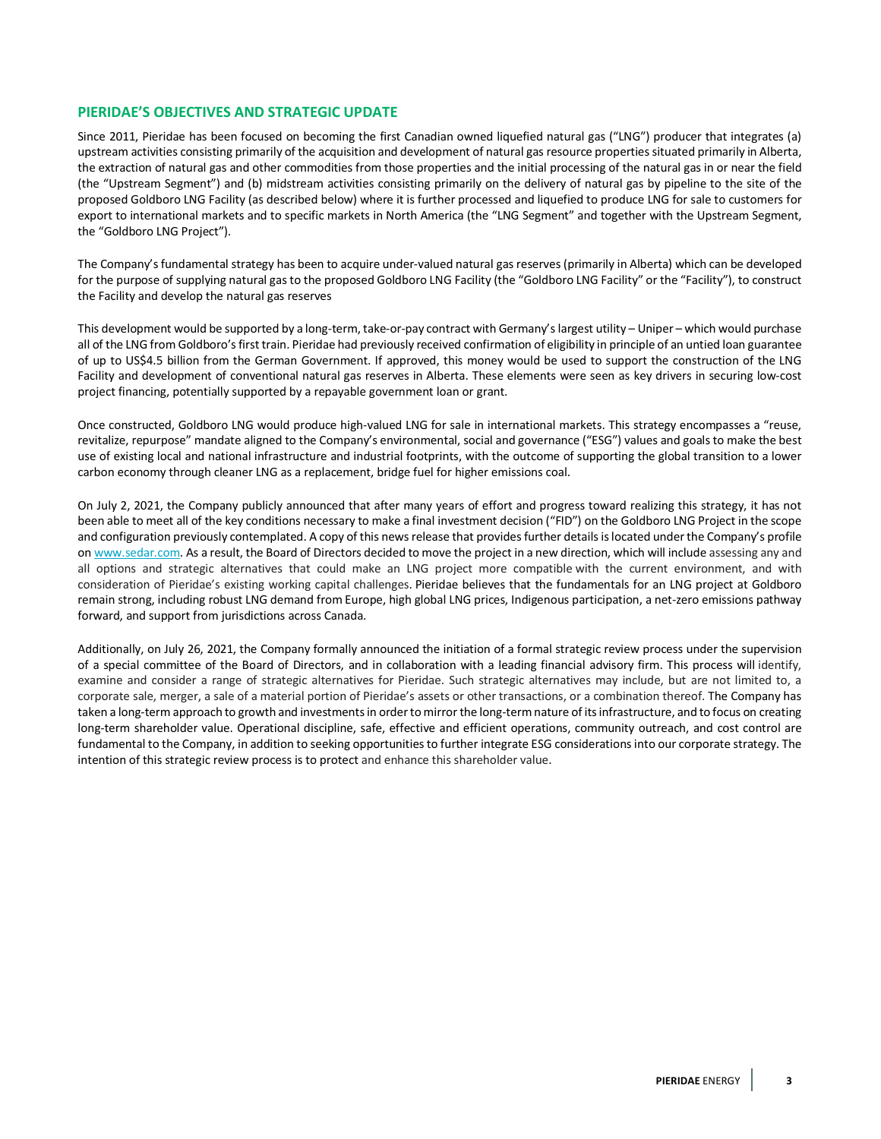# **PIERIDAE'S OBJECTIVES AND STRATEGIC UPDATE**

Since 2011, Pieridae has been focused on becoming the first Canadian owned liquefied natural gas ("LNG") producer that integrates (a) upstream activities consisting primarily of the acquisition and development of natural gas resource properties situated primarily in Alberta, the extraction of natural gas and other commodities from those properties and the initial processing of the natural gas in or near the field (the "Upstream Segment") and (b) midstream activities consisting primarily on the delivery of natural gas by pipeline to the site of the proposed Goldboro LNG Facility (as described below) where it is further processed and liquefied to produce LNG for sale to customers for export to international markets and to specific markets in North America (the "LNG Segment" and together with the Upstream Segment, the "Goldboro LNG Project").

The Company's fundamental strategy has been to acquire under-valued natural gas reserves (primarily in Alberta) which can be developed for the purpose of supplying natural gas to the proposed Goldboro LNG Facility (the "Goldboro LNG Facility" or the "Facility"), to construct the Facility and develop the natural gas reserves

This development would be supported by a long-term, take-or-pay contract with Germany's largest utility – Uniper – which would purchase all of the LNG from Goldboro's first train. Pieridae had previously received confirmation of eligibility in principle of an untied loan guarantee of up to US\$4.5 billion from the German Government. If approved, this money would be used to support the construction of the LNG Facility and development of conventional natural gas reserves in Alberta. These elements were seen as key drivers in securing low-cost project financing, potentially supported by a repayable government loan or grant.

Once constructed, Goldboro LNG would produce high-valued LNG for sale in international markets. This strategy encompasses a "reuse, revitalize, repurpose" mandate aligned to the Company's environmental, social and governance ("ESG") values and goals to make the best use of existing local and national infrastructure and industrial footprints, with the outcome of supporting the global transition to a lower carbon economy through cleaner LNG as a replacement, bridge fuel for higher emissions coal.

On July 2, 2021, the Company publicly announced that after many years of effort and progress toward realizing this strategy, it has not been able to meet all of the key conditions necessary to make a final investment decision ("FID") on the Goldboro LNG Project in the scope and configuration previously contemplated. A copy of this news release that provides further details is located under the Company's profile o[n www.sedar.com.](http://www.sedar.com/) As a result, the Board of Directors decided to move the project in a new direction, which will include assessing any and all options and strategic alternatives that could make an LNG project more compatible with the current environment, and with consideration of Pieridae's existing working capital challenges. Pieridae believes that the fundamentals for an LNG project at Goldboro remain strong, including robust LNG demand from Europe, high global LNG prices, Indigenous participation, a net-zero emissions pathway forward, and support from jurisdictions across Canada.

Additionally, on July 26, 2021, the Company formally announced the initiation of a formal strategic review process under the supervision of a special committee of the Board of Directors, and in collaboration with a leading financial advisory firm. This process will identify, examine and consider a range of strategic alternatives for Pieridae. Such strategic alternatives may include, but are not limited to, a corporate sale, merger, a sale of a material portion of Pieridae's assets or other transactions, or a combination thereof. The Company has taken a long-term approach to growth and investments in order to mirror the long-term nature of itsinfrastructure, and to focus on creating long-term shareholder value. Operational discipline, safe, effective and efficient operations, community outreach, and cost control are fundamental to the Company, in addition to seeking opportunitiesto further integrate ESG considerations into our corporate strategy. The intention of this strategic review process is to protect and enhance this shareholder value.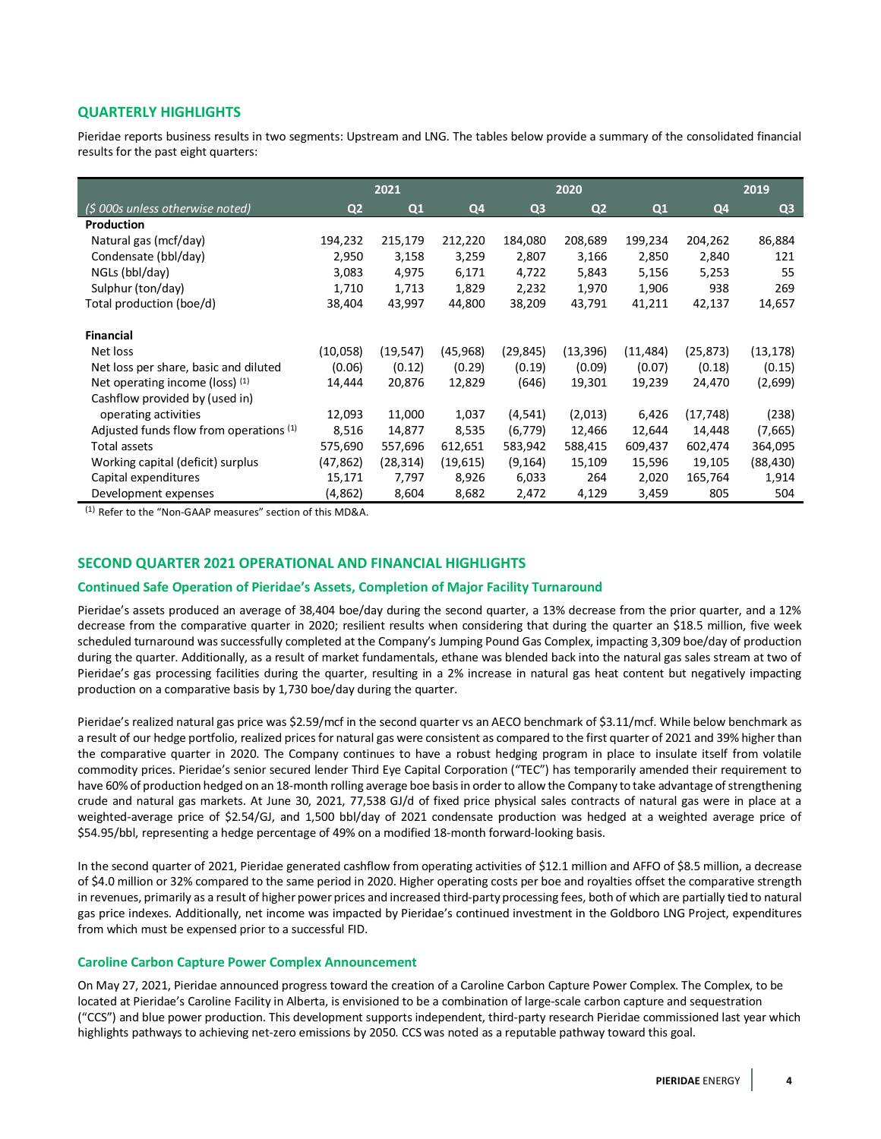# **QUARTERLY HIGHLIGHTS**

Pieridae reports business results in two segments: Upstream and LNG. The tables below provide a summary of the consolidated financial results for the past eight quarters:

|                                         | 2021           |           | 2020      |                |                | 2019      |           |                |
|-----------------------------------------|----------------|-----------|-----------|----------------|----------------|-----------|-----------|----------------|
| (\$ 000s unless otherwise noted)        | Q <sub>2</sub> | Q1        | Q4        | Q <sub>3</sub> | Q <sub>2</sub> | Q1        | Q4        | Q <sub>3</sub> |
| Production                              |                |           |           |                |                |           |           |                |
| Natural gas (mcf/day)                   | 194,232        | 215,179   | 212,220   | 184,080        | 208,689        | 199,234   | 204,262   | 86,884         |
| Condensate (bbl/day)                    | 2,950          | 3,158     | 3,259     | 2,807          | 3,166          | 2,850     | 2,840     | 121            |
| NGLs (bbl/day)                          | 3,083          | 4,975     | 6,171     | 4,722          | 5,843          | 5,156     | 5,253     | 55             |
| Sulphur (ton/day)                       | 1,710          | 1,713     | 1,829     | 2,232          | 1,970          | 1,906     | 938       | 269            |
| Total production (boe/d)                | 38,404         | 43,997    | 44,800    | 38,209         | 43,791         | 41,211    | 42,137    | 14,657         |
| <b>Financial</b>                        |                |           |           |                |                |           |           |                |
| Net loss                                | (10,058)       | (19, 547) | (45, 968) | (29,845)       | (13, 396)      | (11, 484) | (25, 873) | (13, 178)      |
| Net loss per share, basic and diluted   | (0.06)         | (0.12)    | (0.29)    | (0.19)         | (0.09)         | (0.07)    | (0.18)    | (0.15)         |
| Net operating income (loss) $(1)$       | 14,444         | 20,876    | 12,829    | (646)          | 19,301         | 19,239    | 24,470    | (2,699)        |
| Cashflow provided by (used in)          |                |           |           |                |                |           |           |                |
| operating activities                    | 12,093         | 11,000    | 1,037     | (4, 541)       | (2,013)        | 6,426     | (17, 748) | (238)          |
| Adjusted funds flow from operations (1) | 8,516          | 14,877    | 8,535     | (6, 779)       | 12,466         | 12,644    | 14,448    | (7,665)        |
| Total assets                            | 575,690        | 557,696   | 612,651   | 583,942        | 588,415        | 609,437   | 602,474   | 364,095        |
| Working capital (deficit) surplus       | (47, 862)      | (28, 314) | (19, 615) | (9, 164)       | 15,109         | 15,596    | 19,105    | (88, 430)      |
| Capital expenditures                    | 15,171         | 7,797     | 8,926     | 6,033          | 264            | 2,020     | 165,764   | 1,914          |
| Development expenses                    | (4,862)        | 8,604     | 8,682     | 2,472          | 4,129          | 3,459     | 805       | 504            |

(1) Refer to the "Non-GAAP measures" section of this MD&A.

# **SECOND QUARTER 2021 OPERATIONAL AND FINANCIAL HIGHLIGHTS**

# **Continued Safe Operation of Pieridae's Assets, Completion of Major Facility Turnaround**

Pieridae's assets produced an average of 38,404 boe/day during the second quarter, a 13% decrease from the prior quarter, and a 12% decrease from the comparative quarter in 2020; resilient results when considering that during the quarter an \$18.5 million, five week scheduled turnaround was successfully completed at the Company's Jumping Pound Gas Complex, impacting 3,309 boe/day of production during the quarter. Additionally, as a result of market fundamentals, ethane was blended back into the natural gas sales stream at two of Pieridae's gas processing facilities during the quarter, resulting in a 2% increase in natural gas heat content but negatively impacting production on a comparative basis by 1,730 boe/day during the quarter.

Pieridae's realized natural gas price was \$2.59/mcf in the second quarter vs an AECO benchmark of \$3.11/mcf. While below benchmark as a result of our hedge portfolio, realized prices for natural gas were consistent as compared to the first quarter of 2021 and 39% higher than the comparative quarter in 2020. The Company continues to have a robust hedging program in place to insulate itself from volatile commodity prices. Pieridae's senior secured lender Third Eye Capital Corporation ("TEC") has temporarily amended their requirement to have 60% of production hedged on an 18-month rolling average boe basis in order to allow the Company to take advantage of strengthening crude and natural gas markets. At June 30, 2021, 77,538 GJ/d of fixed price physical sales contracts of natural gas were in place at a weighted-average price of \$2.54/GJ, and 1,500 bbl/day of 2021 condensate production was hedged at a weighted average price of \$54.95/bbl, representing a hedge percentage of 49% on a modified 18-month forward-looking basis.

In the second quarter of 2021, Pieridae generated cashflow from operating activities of \$12.1 million and AFFO of \$8.5 million, a decrease of \$4.0 million or 32% compared to the same period in 2020. Higher operating costs per boe and royalties offset the comparative strength in revenues, primarily as a result of higher power prices and increased third-party processing fees, both of which are partially tied to natural gas price indexes. Additionally, net income was impacted by Pieridae's continued investment in the Goldboro LNG Project, expenditures from which must be expensed prior to a successful FID.

#### **Caroline Carbon Capture Power Complex Announcement**

On May 27, 2021, Pieridae announced progress toward the creation of a Caroline Carbon Capture Power Complex. The Complex, to be located at Pieridae's Caroline Facility in Alberta, is envisioned to be a combination of large-scale carbon capture and sequestration ("CCS") and blue power production. This development supports independent, third-party research Pieridae commissioned last year which highlights pathways to achieving net-zero emissions by 2050. CCS was noted as a reputable pathway toward this goal.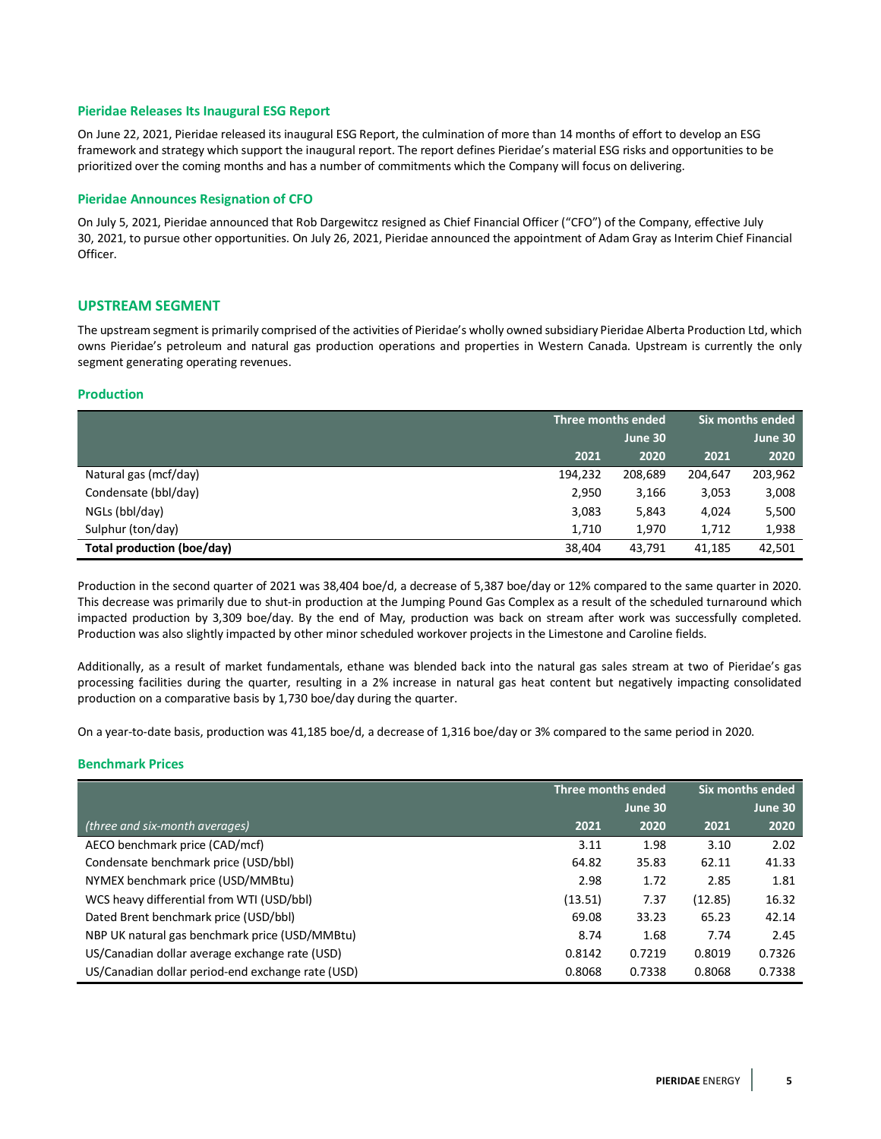### **Pieridae Releases Its Inaugural ESG Report**

On June 22, 2021, Pieridae released its inaugural ESG Report, the culmination of more than 14 months of effort to develop an ESG framework and strategy which support the inaugural report. The report defines Pieridae's material ESG risks and opportunities to be prioritized over the coming months and has a number of commitments which the Company will focus on delivering.

#### **Pieridae Announces Resignation of CFO**

On July 5, 2021, Pieridae announced that Rob Dargewitcz resigned as Chief Financial Officer ("CFO") of the Company, effective July 30, 2021, to pursue other opportunities. On July 26, 2021, Pieridae announced the appointment of Adam Gray as Interim Chief Financial Officer.

### **UPSTREAM SEGMENT**

The upstream segment is primarily comprised of the activities of Pieridae's wholly owned subsidiary Pieridae Alberta Production Ltd, which owns Pieridae's petroleum and natural gas production operations and properties in Western Canada. Upstream is currently the only segment generating operating revenues.

#### **Production**

|                            |         | Three months ended |         | Six months ended |
|----------------------------|---------|--------------------|---------|------------------|
|                            |         | June 30            |         | June 30          |
|                            | 2021    | 2020               | 2021    | 2020             |
| Natural gas (mcf/day)      | 194,232 | 208,689            | 204,647 | 203,962          |
| Condensate (bbl/day)       | 2,950   | 3,166              | 3,053   | 3,008            |
| NGLs (bbl/day)             | 3,083   | 5,843              | 4,024   | 5,500            |
| Sulphur (ton/day)          | 1,710   | 1,970              | 1,712   | 1,938            |
| Total production (boe/day) | 38,404  | 43,791             | 41,185  | 42,501           |

Production in the second quarter of 2021 was 38,404 boe/d, a decrease of 5,387 boe/day or 12% compared to the same quarter in 2020. This decrease was primarily due to shut-in production at the Jumping Pound Gas Complex as a result of the scheduled turnaround which impacted production by 3,309 boe/day. By the end of May, production was back on stream after work was successfully completed. Production was also slightly impacted by other minor scheduled workover projects in the Limestone and Caroline fields.

Additionally, as a result of market fundamentals, ethane was blended back into the natural gas sales stream at two of Pieridae's gas processing facilities during the quarter, resulting in a 2% increase in natural gas heat content but negatively impacting consolidated production on a comparative basis by 1,730 boe/day during the quarter.

On a year-to-date basis, production was 41,185 boe/d, a decrease of 1,316 boe/day or 3% compared to the same period in 2020.

#### **Benchmark Prices**

|                                                   |         | Three months ended |         | Six months ended |
|---------------------------------------------------|---------|--------------------|---------|------------------|
|                                                   |         | June 30            |         | June 30          |
| (three and six-month averages)                    | 2021    | 2020               | 2021    | 2020             |
| AECO benchmark price (CAD/mcf)                    | 3.11    | 1.98               | 3.10    | 2.02             |
| Condensate benchmark price (USD/bbl)              | 64.82   | 35.83              | 62.11   | 41.33            |
| NYMEX benchmark price (USD/MMBtu)                 | 2.98    | 1.72               | 2.85    | 1.81             |
| WCS heavy differential from WTI (USD/bbl)         | (13.51) | 7.37               | (12.85) | 16.32            |
| Dated Brent benchmark price (USD/bbl)             | 69.08   | 33.23              | 65.23   | 42.14            |
| NBP UK natural gas benchmark price (USD/MMBtu)    | 8.74    | 1.68               | 7.74    | 2.45             |
| US/Canadian dollar average exchange rate (USD)    | 0.8142  | 0.7219             | 0.8019  | 0.7326           |
| US/Canadian dollar period-end exchange rate (USD) | 0.8068  | 0.7338             | 0.8068  | 0.7338           |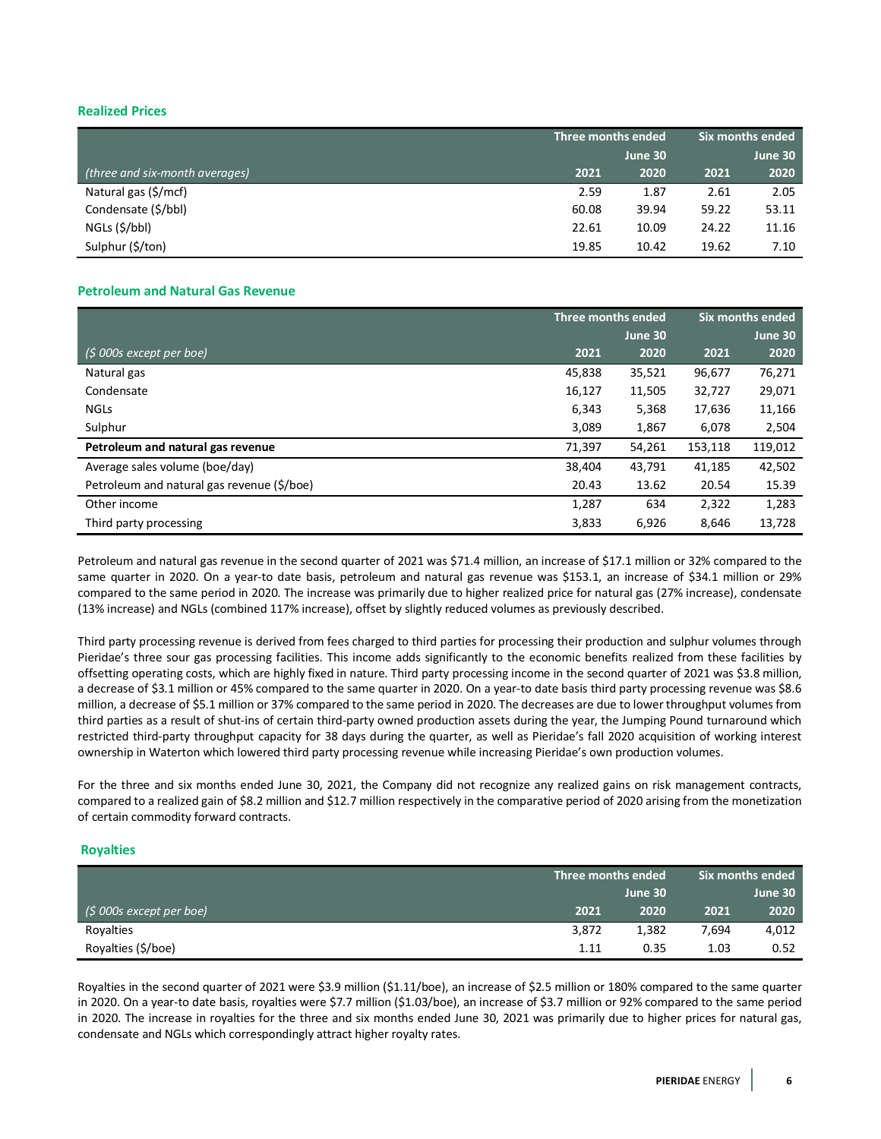# **Realized Prices**

|                                |       | Three months ended |       | Six months ended |
|--------------------------------|-------|--------------------|-------|------------------|
|                                |       | June 30            |       | June 30          |
| (three and six-month averages) | 2021  | 2020               | 2021  | 2020             |
| Natural gas (\$/mcf)           | 2.59  | 1.87               | 2.61  | 2.05             |
| Condensate (\$/bbl)            | 60.08 | 39.94              | 59.22 | 53.11            |
| NGLs (\$/bbl)                  | 22.61 | 10.09              | 24.22 | 11.16            |
| Sulphur (\$/ton)               | 19.85 | 10.42              | 19.62 | 7.10             |

# **Petroleum and Natural Gas Revenue**

|                                            |        | Three months ended |         | Six months ended |
|--------------------------------------------|--------|--------------------|---------|------------------|
|                                            |        | June 30            |         | June 30          |
| $(5000s$ except per boe)                   | 2021   | 2020               | 2021    | 2020             |
| Natural gas                                | 45,838 | 35,521             | 96,677  | 76,271           |
| Condensate                                 | 16,127 | 11,505             | 32,727  | 29,071           |
| <b>NGLS</b>                                | 6,343  | 5,368              | 17,636  | 11,166           |
| Sulphur                                    | 3,089  | 1,867              | 6,078   | 2,504            |
| Petroleum and natural gas revenue          | 71,397 | 54,261             | 153.118 | 119,012          |
| Average sales volume (boe/day)             | 38,404 | 43.791             | 41,185  | 42,502           |
| Petroleum and natural gas revenue (\$/boe) | 20.43  | 13.62              | 20.54   | 15.39            |
| Other income                               | 1,287  | 634                | 2,322   | 1,283            |
| Third party processing                     | 3,833  | 6,926              | 8,646   | 13,728           |

Petroleum and natural gas revenue in the second quarter of 2021 was \$71.4 million, an increase of \$17.1 million or 32% compared to the same quarter in 2020. On a year-to date basis, petroleum and natural gas revenue was \$153.1, an increase of \$34.1 million or 29% compared to the same period in 2020. The increase was primarily due to higher realized price for natural gas (27% increase), condensate (13% increase) and NGLs (combined 117% increase), offset by slightly reduced volumes as previously described.

Third party processing revenue is derived from fees charged to third parties for processing their production and sulphur volumes through Pieridae's three sour gas processing facilities. This income adds significantly to the economic benefits realized from these facilities by offsetting operating costs, which are highly fixed in nature. Third party processing income in the second quarter of 2021 was \$3.8 million, a decrease of \$3.1 million or 45% compared to the same quarter in 2020. On a year-to date basis third party processing revenue was \$8.6 million, a decrease of \$5.1 million or 37% compared to the same period in 2020. The decreases are due to lower throughput volumes from third parties as a result of shut-ins of certain third-party owned production assets during the year, the Jumping Pound turnaround which restricted third-party throughput capacity for 38 days during the quarter, as well as Pieridae's fall 2020 acquisition of working interest ownership in Waterton which lowered third party processing revenue while increasing Pieridae's own production volumes.

For the three and six months ended June 30, 2021, the Company did not recognize any realized gains on risk management contracts, compared to a realized gain of \$8.2 million and \$12.7 million respectively in the comparative period of 2020 arising from the monetization of certain commodity forward contracts.

# **Royalties**

|                             |       | Three months ended |       |         |
|-----------------------------|-------|--------------------|-------|---------|
|                             |       | June 30            |       | June 30 |
| $($ \$ 000s except per boe) | 2021  | 2020               | 2021  | 2020    |
| Royalties                   | 3,872 | 1,382              | 7.694 | 4,012   |
| Royalties (\$/boe)          | 1.11  | 0.35               | 1.03  | 0.52    |

Royalties in the second quarter of 2021 were \$3.9 million (\$1.11/boe), an increase of \$2.5 million or 180% compared to the same quarter in 2020. On a year-to date basis, royalties were \$7.7 million (\$1.03/boe), an increase of \$3.7 million or 92% compared to the same period in 2020. The increase in royalties for the three and six months ended June 30, 2021 was primarily due to higher prices for natural gas, condensate and NGLs which correspondingly attract higher royalty rates.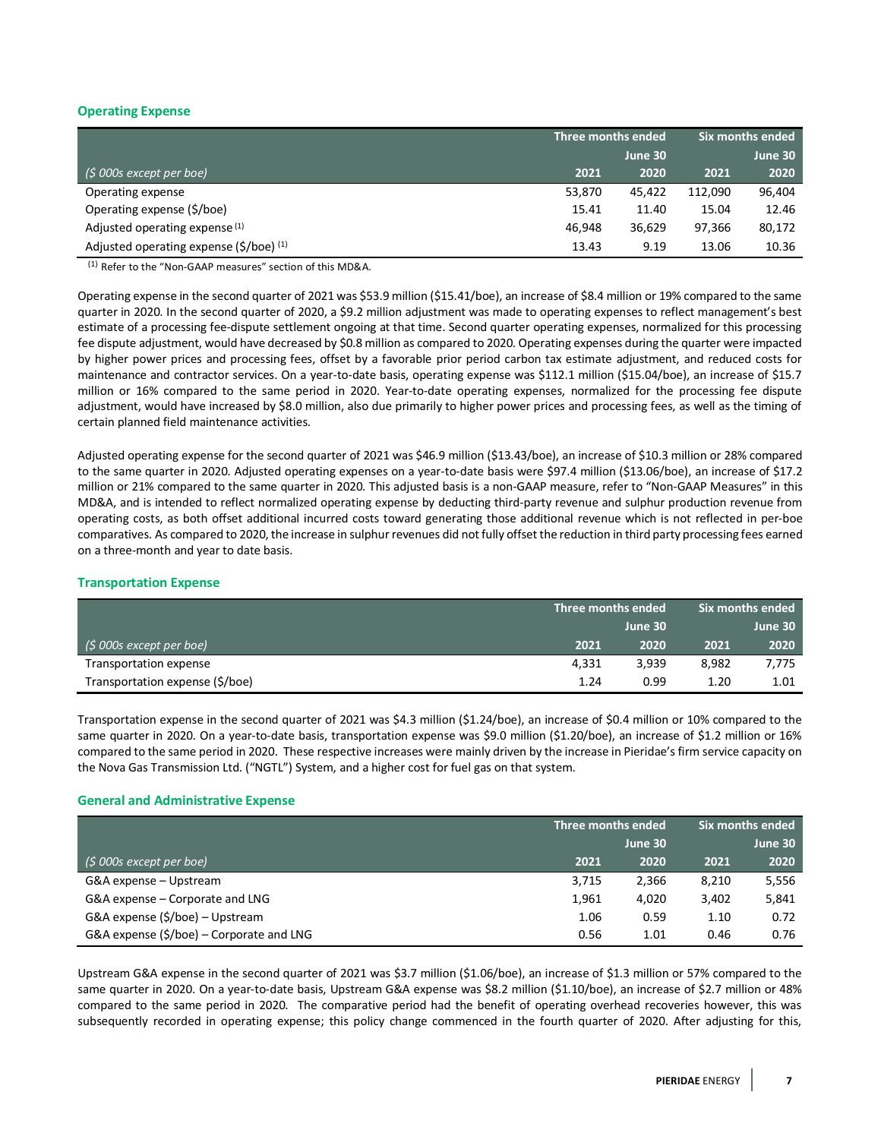# **Operating Expense**

|                                                        |        | Three months ended |         | Six months ended |
|--------------------------------------------------------|--------|--------------------|---------|------------------|
|                                                        |        | June 30            |         | June 30          |
| $($ \$ 000s except per boe)                            | 2021   | 2020               | 2021    | 2020             |
| Operating expense                                      | 53,870 | 45.422             | 112.090 | 96.404           |
| Operating expense (\$/boe)                             | 15.41  | 11.40              | 15.04   | 12.46            |
| Adjusted operating expense <sup>(1)</sup>              | 46.948 | 36.629             | 97.366  | 80,172           |
| Adjusted operating expense $(\frac{2}{5})$ (boe) $(1)$ | 13.43  | 9.19               | 13.06   | 10.36            |

(1) Refer to the "Non-GAAP measures" section of this MD&A.

Operating expense in the second quarter of 2021 was \$53.9 million (\$15.41/boe), an increase of \$8.4 million or 19% compared to the same quarter in 2020. In the second quarter of 2020, a \$9.2 million adjustment was made to operating expenses to reflect management's best estimate of a processing fee-dispute settlement ongoing at that time. Second quarter operating expenses, normalized for this processing fee dispute adjustment, would have decreased by \$0.8 million as compared to 2020. Operating expenses during the quarter were impacted by higher power prices and processing fees, offset by a favorable prior period carbon tax estimate adjustment, and reduced costs for maintenance and contractor services. On a year-to-date basis, operating expense was \$112.1 million (\$15.04/boe), an increase of \$15.7 million or 16% compared to the same period in 2020. Year-to-date operating expenses, normalized for the processing fee dispute adjustment, would have increased by \$8.0 million, also due primarily to higher power prices and processing fees, as well as the timing of certain planned field maintenance activities.

Adjusted operating expense for the second quarter of 2021 was \$46.9 million (\$13.43/boe), an increase of \$10.3 million or 28% compared to the same quarter in 2020. Adjusted operating expenses on a year-to-date basis were \$97.4 million (\$13.06/boe), an increase of \$17.2 million or 21% compared to the same quarter in 2020. This adjusted basis is a non-GAAP measure, refer to "Non-GAAP Measures" in this MD&A, and is intended to reflect normalized operating expense by deducting third-party revenue and sulphur production revenue from operating costs, as both offset additional incurred costs toward generating those additional revenue which is not reflected in per-boe comparatives. As compared to 2020, the increase in sulphur revenues did not fully offset the reduction in third party processing fees earned on a three-month and year to date basis.

# **Transportation Expense**

|                                 | Three months ended |       | . Six months ended <b>\</b> |         |  |
|---------------------------------|--------------------|-------|-----------------------------|---------|--|
|                                 | June 30            |       |                             | June 30 |  |
| $(5000s)$ except per boe)       | 2021               | 2020  | 2021                        | 2020    |  |
| Transportation expense          | 4.331              | 3.939 | 8.982                       | 7,775   |  |
| Transportation expense (\$/boe) | 1.24               | 0.99  | 1.20                        | 1.01    |  |

Transportation expense in the second quarter of 2021 was \$4.3 million (\$1.24/boe), an increase of \$0.4 million or 10% compared to the same quarter in 2020. On a year-to-date basis, transportation expense was \$9.0 million (\$1.20/boe), an increase of \$1.2 million or 16% compared to the same period in 2020. These respective increases were mainly driven by the increase in Pieridae's firm service capacity on the Nova Gas Transmission Ltd. ("NGTL") System, and a higher cost for fuel gas on that system.

# **General and Administrative Expense**

|                                                      |       | Three months ended |       | Six months ended |
|------------------------------------------------------|-------|--------------------|-------|------------------|
|                                                      |       | June 30            |       | June 30          |
| $(5000s$ except per boe)                             | 2021  | 2020               | 2021  | 2020             |
| G&A expense – Upstream                               | 3,715 | 2,366              | 8,210 | 5,556            |
| G&A expense – Corporate and LNG                      | 1.961 | 4,020              | 3,402 | 5,841            |
| G&A expense (\$/boe) – Upstream                      | 1.06  | 0.59               | 1.10  | 0.72             |
| G&A expense $(\frac{2}{5})$ boe) – Corporate and LNG | 0.56  | 1.01               | 0.46  | 0.76             |

Upstream G&A expense in the second quarter of 2021 was \$3.7 million (\$1.06/boe), an increase of \$1.3 million or 57% compared to the same quarter in 2020. On a year-to-date basis, Upstream G&A expense was \$8.2 million (\$1.10/boe), an increase of \$2.7 million or 48% compared to the same period in 2020. The comparative period had the benefit of operating overhead recoveries however, this was subsequently recorded in operating expense; this policy change commenced in the fourth quarter of 2020. After adjusting for this,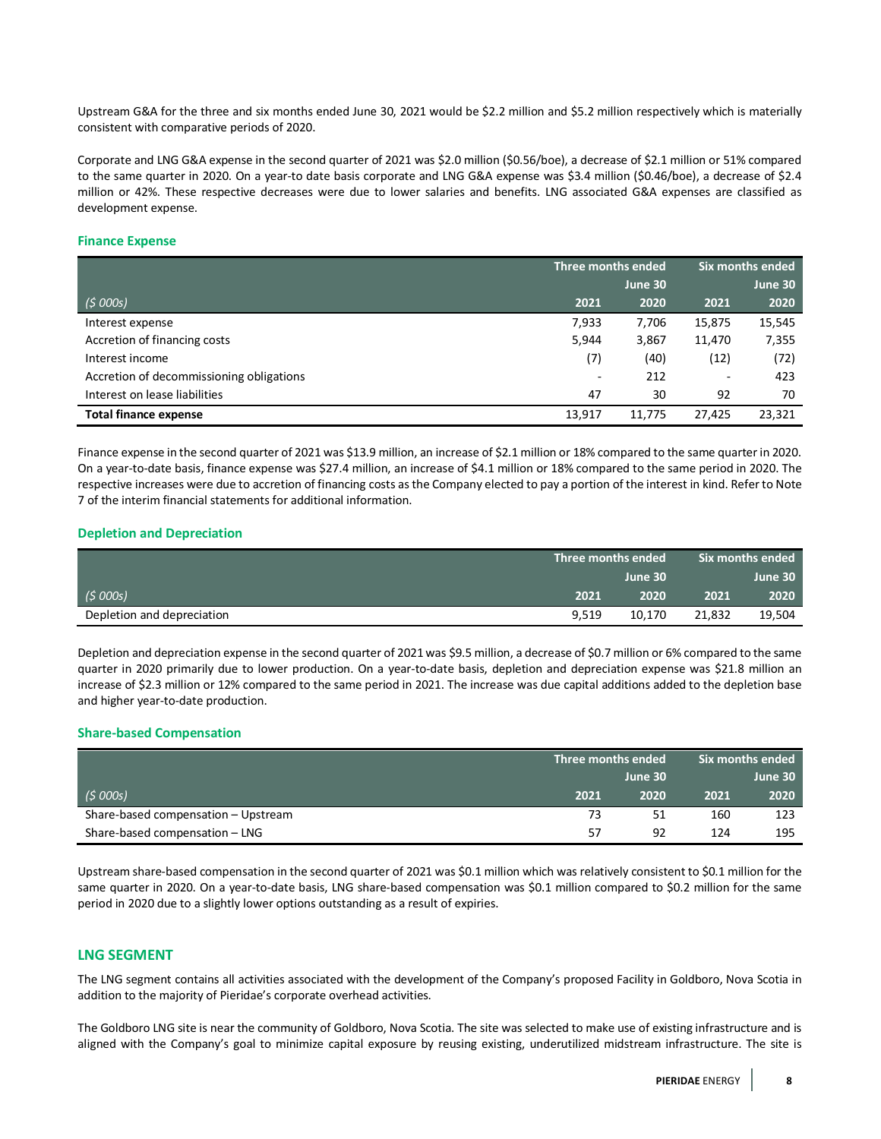Upstream G&A for the three and six months ended June 30, 2021 would be \$2.2 million and \$5.2 million respectively which is materially consistent with comparative periods of 2020.

Corporate and LNG G&A expense in the second quarter of 2021 was \$2.0 million (\$0.56/boe), a decrease of \$2.1 million or 51% compared to the same quarter in 2020. On a year-to date basis corporate and LNG G&A expense was \$3.4 million (\$0.46/boe), a decrease of \$2.4 million or 42%. These respective decreases were due to lower salaries and benefits. LNG associated G&A expenses are classified as development expense.

### **Finance Expense**

|                                          |        | Three months ended |                          | Six months ended |
|------------------------------------------|--------|--------------------|--------------------------|------------------|
|                                          |        | June 30            |                          | June 30          |
| (5000s)                                  | 2021   | 2020               | 2021                     | 2020             |
| Interest expense                         | 7,933  | 7,706              | 15,875                   | 15,545           |
| Accretion of financing costs             | 5,944  | 3,867              | 11,470                   | 7,355            |
| Interest income                          | (7)    | (40)               | (12)                     | (72)             |
| Accretion of decommissioning obligations | $\sim$ | 212                | $\overline{\phantom{a}}$ | 423              |
| Interest on lease liabilities            | 47     | 30                 | 92                       | 70               |
| <b>Total finance expense</b>             | 13,917 | 11.775             | 27.425                   | 23,321           |

Finance expense in the second quarter of 2021 was \$13.9 million, an increase of \$2.1 million or 18% compared to the same quarter in 2020. On a year-to-date basis, finance expense was \$27.4 million, an increase of \$4.1 million or 18% compared to the same period in 2020. The respective increases were due to accretion of financing costs asthe Company elected to pay a portion of the interest in kind. Refer to Note 7 of the interim financial statements for additional information.

### **Depletion and Depreciation**

|                            | $\,$ Six months ended $\,$<br>' Three months ended |         |        |         |
|----------------------------|----------------------------------------------------|---------|--------|---------|
|                            |                                                    | June 30 |        | June 30 |
| (5000s)                    | 2021                                               | 2020    | 2021   | 2020    |
| Depletion and depreciation | 9.519                                              | 10.170  | 21,832 | 19,504  |

Depletion and depreciation expense in the second quarter of 2021 was \$9.5 million, a decrease of \$0.7 million or 6% compared to the same quarter in 2020 primarily due to lower production. On a year-to-date basis, depletion and depreciation expense was \$21.8 million an increase of \$2.3 million or 12% compared to the same period in 2021. The increase was due capital additions added to the depletion base and higher year-to-date production.

#### **Share-based Compensation**

|                                     | Three months ended |      | Six months ended |         |
|-------------------------------------|--------------------|------|------------------|---------|
|                                     | June 30            |      |                  | June 30 |
| (5000s)                             | 2021               | 2020 | 2021             | 2020    |
| Share-based compensation - Upstream | 73                 | 51   | 160              | 123     |
| Share-based compensation - LNG      | 57                 | 92   | 124              | 195     |

Upstream share-based compensation in the second quarter of 2021 was \$0.1 million which was relatively consistent to \$0.1 million for the same quarter in 2020. On a year-to-date basis, LNG share-based compensation was \$0.1 million compared to \$0.2 million for the same period in 2020 due to a slightly lower options outstanding as a result of expiries.

# **LNG SEGMENT**

The LNG segment contains all activities associated with the development of the Company's proposed Facility in Goldboro, Nova Scotia in addition to the majority of Pieridae's corporate overhead activities.

The Goldboro LNG site is near the community of Goldboro, Nova Scotia. The site was selected to make use of existing infrastructure and is aligned with the Company's goal to minimize capital exposure by reusing existing, underutilized midstream infrastructure. The site is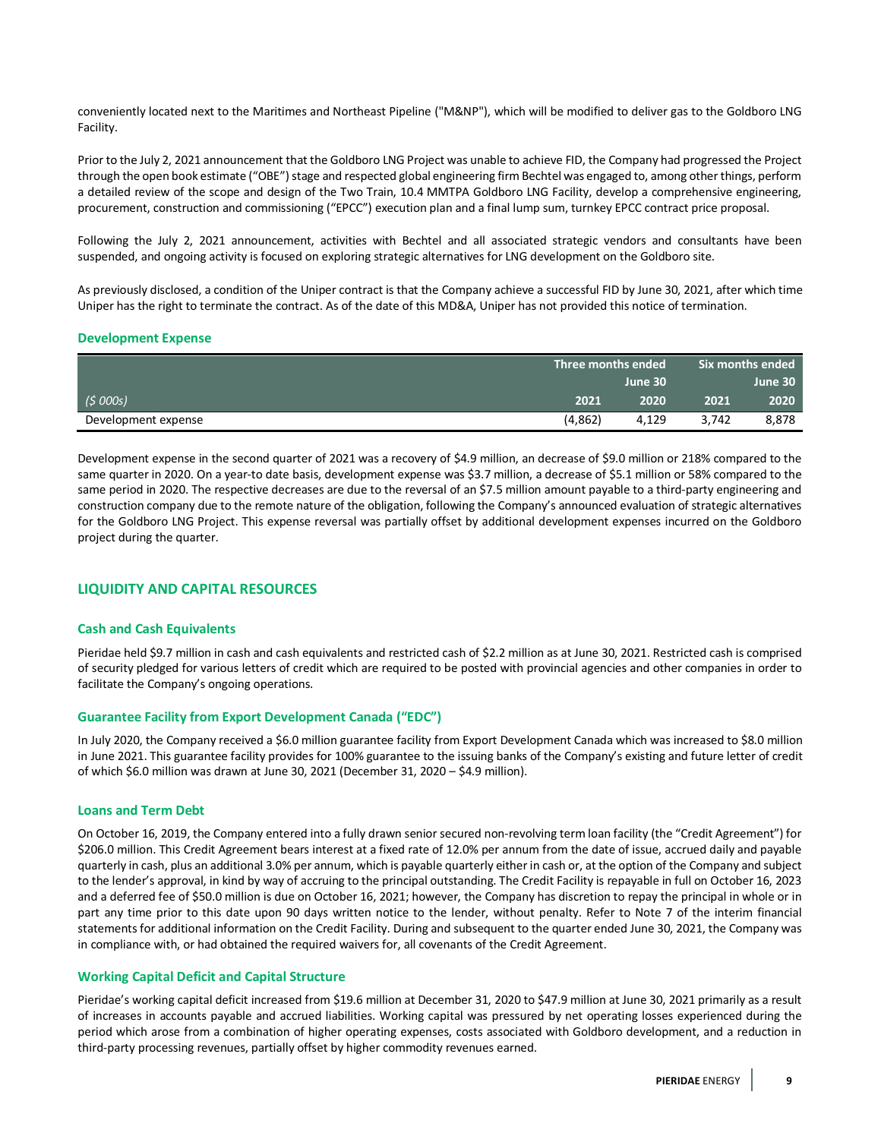conveniently located next to the Maritimes and Northeast Pipeline ("M&NP"), which will be modified to deliver gas to the Goldboro LNG Facility.

Prior to the July 2, 2021 announcement that the Goldboro LNG Project was unable to achieve FID, the Company had progressed the Project through the open book estimate ("OBE") stage and respected global engineering firm Bechtel was engaged to, among other things, perform a detailed review of the scope and design of the Two Train, 10.4 MMTPA Goldboro LNG Facility, develop a comprehensive engineering, procurement, construction and commissioning ("EPCC") execution plan and a final lump sum, turnkey EPCC contract price proposal.

Following the July 2, 2021 announcement, activities with Bechtel and all associated strategic vendors and consultants have been suspended, and ongoing activity is focused on exploring strategic alternatives for LNG development on the Goldboro site.

As previously disclosed, a condition of the Uniper contract is that the Company achieve a successful FID by June 30, 2021, after which time Uniper has the right to terminate the contract. As of the date of this MD&A, Uniper has not provided this notice of termination.

#### **Development Expense**

|                     |         | Three months ended \ |       | . Six months ended $^{\shortparallel}$ |
|---------------------|---------|----------------------|-------|----------------------------------------|
|                     |         | June 30              |       | June 30                                |
| (5000s)             | 2021    | 2020                 | 2021  | 2020                                   |
| Development expense | (4,862) | 4,129                | 3.742 | 8,878                                  |

Development expense in the second quarter of 2021 was a recovery of \$4.9 million, an decrease of \$9.0 million or 218% compared to the same quarter in 2020. On a year-to date basis, development expense was \$3.7 million, a decrease of \$5.1 million or 58% compared to the same period in 2020. The respective decreases are due to the reversal of an \$7.5 million amount payable to a third-party engineering and construction company due to the remote nature of the obligation, following the Company's announced evaluation of strategic alternatives for the Goldboro LNG Project. This expense reversal was partially offset by additional development expenses incurred on the Goldboro project during the quarter.

# **LIQUIDITY AND CAPITAL RESOURCES**

#### **Cash and Cash Equivalents**

Pieridae held \$9.7 million in cash and cash equivalents and restricted cash of \$2.2 million as at June 30, 2021. Restricted cash is comprised of security pledged for various letters of credit which are required to be posted with provincial agencies and other companies in order to facilitate the Company's ongoing operations.

#### **Guarantee Facility from Export Development Canada ("EDC")**

In July 2020, the Company received a \$6.0 million guarantee facility from Export Development Canada which was increased to \$8.0 million in June 2021. This guarantee facility provides for 100% guarantee to the issuing banks of the Company's existing and future letter of credit of which \$6.0 million was drawn at June 30, 2021 (December 31, 2020 – \$4.9 million).

#### **Loans and Term Debt**

On October 16, 2019, the Company entered into a fully drawn senior secured non-revolving term loan facility (the "Credit Agreement") for \$206.0 million. This Credit Agreement bears interest at a fixed rate of 12.0% per annum from the date of issue, accrued daily and payable quarterly in cash, plus an additional 3.0% per annum, which is payable quarterly either in cash or, at the option of the Company and subject to the lender's approval, in kind by way of accruing to the principal outstanding. The Credit Facility is repayable in full on October 16, 2023 and a deferred fee of \$50.0 million is due on October 16, 2021; however, the Company has discretion to repay the principal in whole or in part any time prior to this date upon 90 days written notice to the lender, without penalty. Refer to Note 7 of the interim financial statements for additional information on the Credit Facility. During and subsequent to the quarter ended June 30, 2021, the Company was in compliance with, or had obtained the required waivers for, all covenants of the Credit Agreement.

# **Working Capital Deficit and Capital Structure**

Pieridae's working capital deficit increased from \$19.6 million at December 31, 2020 to \$47.9 million at June 30, 2021 primarily as a result of increases in accounts payable and accrued liabilities. Working capital was pressured by net operating losses experienced during the period which arose from a combination of higher operating expenses, costs associated with Goldboro development, and a reduction in third-party processing revenues, partially offset by higher commodity revenues earned.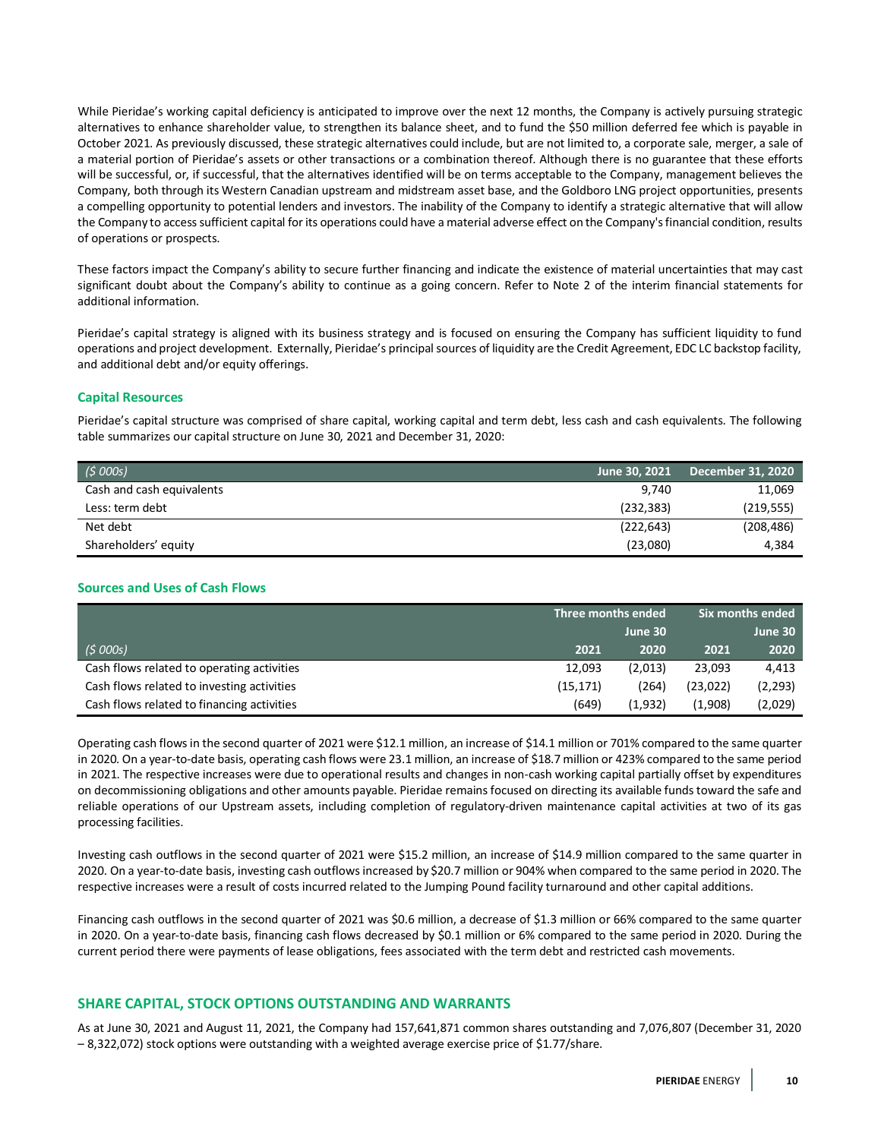While Pieridae's working capital deficiency is anticipated to improve over the next 12 months, the Company is actively pursuing strategic alternatives to enhance shareholder value, to strengthen its balance sheet, and to fund the \$50 million deferred fee which is payable in October 2021. As previously discussed, these strategic alternatives could include, but are not limited to, a corporate sale, merger, a sale of a material portion of Pieridae's assets or other transactions or a combination thereof. Although there is no guarantee that these efforts will be successful, or, if successful, that the alternatives identified will be on terms acceptable to the Company, management believes the Company, both through its Western Canadian upstream and midstream asset base, and the Goldboro LNG project opportunities, presents a compelling opportunity to potential lenders and investors. The inability of the Company to identify a strategic alternative that will allow the Company to access sufficient capital for its operations could have a material adverse effect on the Company's financial condition, results of operations or prospects.

These factors impact the Company's ability to secure further financing and indicate the existence of material uncertainties that may cast significant doubt about the Company's ability to continue as a going concern. Refer to Note 2 of the interim financial statements for additional information.

Pieridae's capital strategy is aligned with its business strategy and is focused on ensuring the Company has sufficient liquidity to fund operations and project development. Externally, Pieridae's principal sources of liquidity are the Credit Agreement, EDC LC backstop facility, and additional debt and/or equity offerings.

# **Capital Resources**

Pieridae's capital structure was comprised of share capital, working capital and term debt, less cash and cash equivalents. The following table summarizes our capital structure on June 30, 2021 and December 31, 2020:

| (5000s)                   | June 30, 2021 | $\,$ December 31, 2020 $^{\circ}$ |
|---------------------------|---------------|-----------------------------------|
| Cash and cash equivalents | 9.740         | 11,069                            |
| Less: term debt           | (232, 383)    | (219, 555)                        |
| Net debt                  | (222, 643)    | (208, 486)                        |
| Shareholders' equity      | (23,080)      | 4.384                             |

# **Sources and Uses of Cash Flows**

|                                            | Three months ended |         | l Six months ended ' |          |
|--------------------------------------------|--------------------|---------|----------------------|----------|
|                                            |                    | June 30 |                      | June 30  |
| (5000s)                                    | 2021               | 2020    | 2021                 | 2020     |
| Cash flows related to operating activities | 12,093             | (2,013) | 23,093               | 4,413    |
| Cash flows related to investing activities | (15, 171)          | (264)   | (23, 022)            | (2, 293) |
| Cash flows related to financing activities | (649)              | (1.932) | (1,908)              | (2,029)  |

Operating cash flows in the second quarter of 2021 were \$12.1 million, an increase of \$14.1 million or 701% compared to the same quarter in 2020. On a year-to-date basis, operating cash flows were 23.1 million, an increase of \$18.7 million or 423% compared to the same period in 2021. The respective increases were due to operational results and changes in non-cash working capital partially offset by expenditures on decommissioning obligations and other amounts payable. Pieridae remains focused on directing its available funds toward the safe and reliable operations of our Upstream assets, including completion of regulatory-driven maintenance capital activities at two of its gas processing facilities.

Investing cash outflows in the second quarter of 2021 were \$15.2 million, an increase of \$14.9 million compared to the same quarter in 2020. On a year-to-date basis, investing cash outflows increased by \$20.7 million or 904% when compared to the same period in 2020. The respective increases were a result of costs incurred related to the Jumping Pound facility turnaround and other capital additions.

Financing cash outflows in the second quarter of 2021 was \$0.6 million, a decrease of \$1.3 million or 66% compared to the same quarter in 2020. On a year-to-date basis, financing cash flows decreased by \$0.1 million or 6% compared to the same period in 2020. During the current period there were payments of lease obligations, fees associated with the term debt and restricted cash movements.

# **SHARE CAPITAL, STOCK OPTIONS OUTSTANDING AND WARRANTS**

As at June 30, 2021 and August 11, 2021, the Company had 157,641,871 common shares outstanding and 7,076,807 (December 31, 2020 – 8,322,072) stock options were outstanding with a weighted average exercise price of \$1.77/share.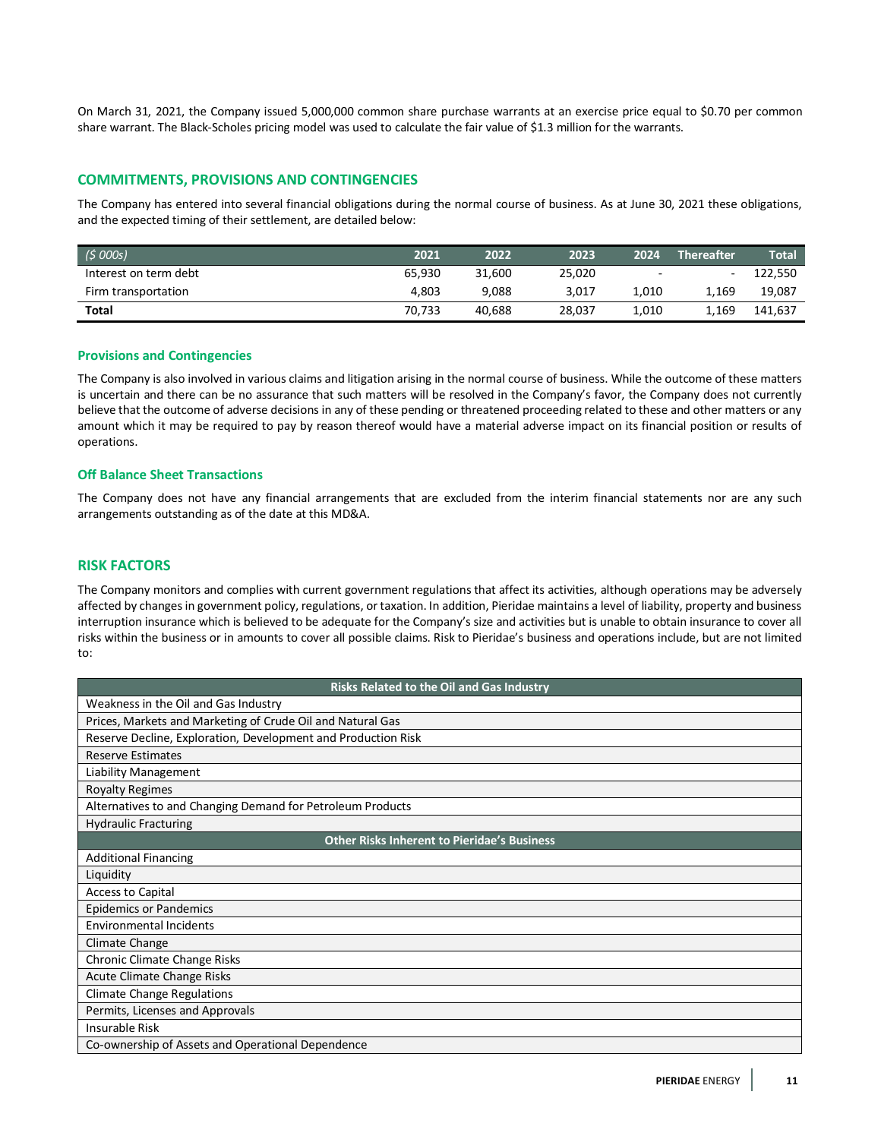On March 31, 2021, the Company issued 5,000,000 common share purchase warrants at an exercise price equal to \$0.70 per common share warrant. The Black-Scholes pricing model was used to calculate the fair value of \$1.3 million for the warrants.

# **COMMITMENTS, PROVISIONS AND CONTINGENCIES**

The Company has entered into several financial obligations during the normal course of business. As at June 30, 2021 these obligations, and the expected timing of their settlement, are detailed below:

| (5000s)               | 2021   | 2022   | 2023   | 2024  | <b>Thereafter</b> | <b>Total</b> |
|-----------------------|--------|--------|--------|-------|-------------------|--------------|
| Interest on term debt | 65.930 | 31.600 | 25,020 |       | $\sim$            | 122,550      |
| Firm transportation   | 4.803  | 9,088  | 3,017  | 1.010 | 1,169             | 19,087       |
| Total                 | 70.733 | 40.688 | 28,037 | 1.010 | 1.169             | 141.637      |

### **Provisions and Contingencies**

The Company is also involved in various claims and litigation arising in the normal course of business. While the outcome of these matters is uncertain and there can be no assurance that such matters will be resolved in the Company's favor, the Company does not currently believe that the outcome of adverse decisions in any of these pending or threatened proceeding related to these and other matters or any amount which it may be required to pay by reason thereof would have a material adverse impact on its financial position or results of operations.

### **Off Balance Sheet Transactions**

The Company does not have any financial arrangements that are excluded from the interim financial statements nor are any such arrangements outstanding as of the date at this MD&A.

# **RISK FACTORS**

The Company monitors and complies with current government regulations that affect its activities, although operations may be adversely affected by changes in government policy, regulations, or taxation. In addition, Pieridae maintains a level of liability, property and business interruption insurance which is believed to be adequate for the Company's size and activities but is unable to obtain insurance to cover all risks within the business or in amounts to cover all possible claims. Risk to Pieridae's business and operations include, but are not limited to:

| Risks Related to the Oil and Gas Industry                     |
|---------------------------------------------------------------|
| Weakness in the Oil and Gas Industry                          |
| Prices, Markets and Marketing of Crude Oil and Natural Gas    |
| Reserve Decline, Exploration, Development and Production Risk |
| <b>Reserve Estimates</b>                                      |
| Liability Management                                          |
| <b>Royalty Regimes</b>                                        |
| Alternatives to and Changing Demand for Petroleum Products    |
| <b>Hydraulic Fracturing</b>                                   |
| <b>Other Risks Inherent to Pieridae's Business</b>            |
| <b>Additional Financing</b>                                   |
| Liquidity                                                     |
| <b>Access to Capital</b>                                      |
| <b>Epidemics or Pandemics</b>                                 |
| <b>Environmental Incidents</b>                                |
| Climate Change                                                |
| Chronic Climate Change Risks                                  |
| Acute Climate Change Risks                                    |
| <b>Climate Change Regulations</b>                             |
| Permits, Licenses and Approvals                               |
| <b>Insurable Risk</b>                                         |
| Co-ownership of Assets and Operational Dependence             |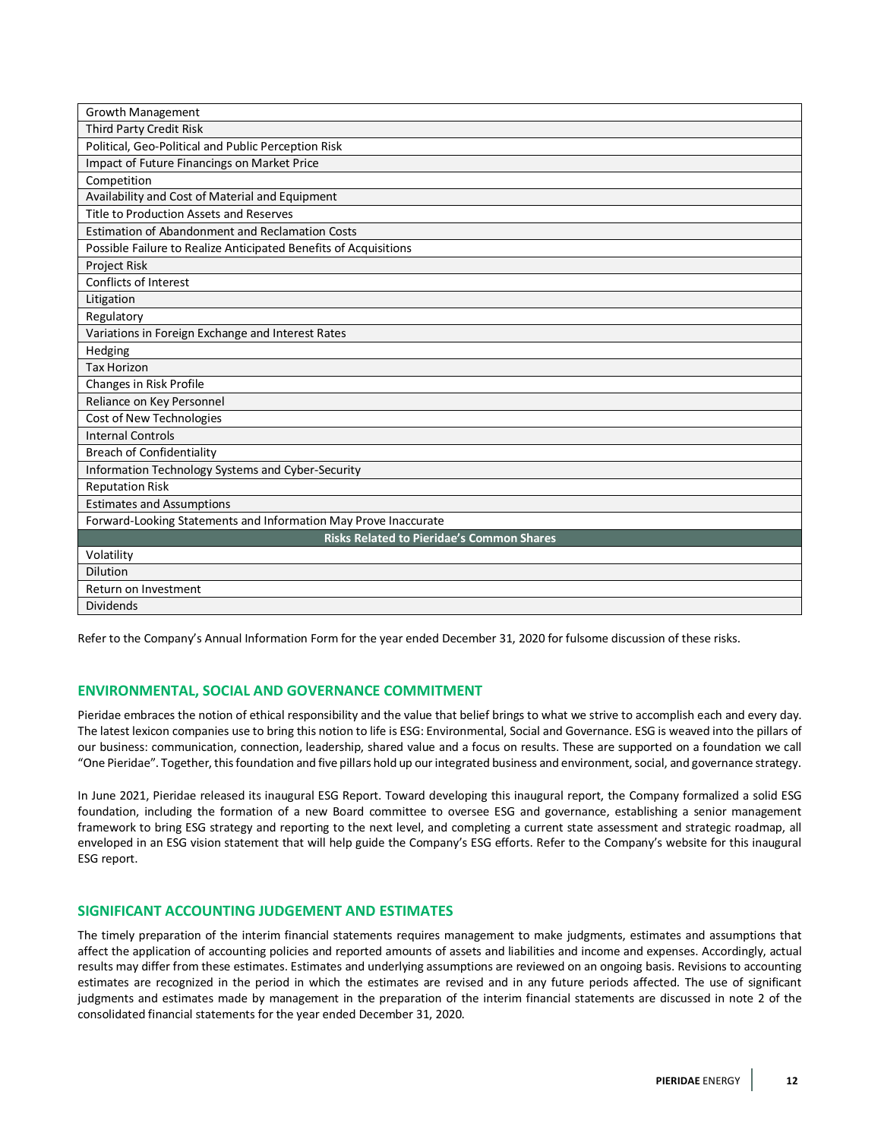| <b>Growth Management</b>                                         |
|------------------------------------------------------------------|
| Third Party Credit Risk                                          |
| Political, Geo-Political and Public Perception Risk              |
| Impact of Future Financings on Market Price                      |
| Competition                                                      |
| Availability and Cost of Material and Equipment                  |
| Title to Production Assets and Reserves                          |
| <b>Estimation of Abandonment and Reclamation Costs</b>           |
| Possible Failure to Realize Anticipated Benefits of Acquisitions |
| Project Risk                                                     |
| Conflicts of Interest                                            |
| Litigation                                                       |
| Regulatory                                                       |
| Variations in Foreign Exchange and Interest Rates                |
| Hedging                                                          |
| <b>Tax Horizon</b>                                               |
| Changes in Risk Profile                                          |
| Reliance on Key Personnel                                        |
| Cost of New Technologies                                         |
| <b>Internal Controls</b>                                         |
| <b>Breach of Confidentiality</b>                                 |
| Information Technology Systems and Cyber-Security                |
| <b>Reputation Risk</b>                                           |
| <b>Estimates and Assumptions</b>                                 |
| Forward-Looking Statements and Information May Prove Inaccurate  |
| <b>Risks Related to Pieridae's Common Shares</b>                 |
| Volatility                                                       |
| <b>Dilution</b>                                                  |
| Return on Investment                                             |
| <b>Dividends</b>                                                 |

Refer to the Company's Annual Information Form for the year ended December 31, 2020 for fulsome discussion of these risks.

# **ENVIRONMENTAL, SOCIAL AND GOVERNANCE COMMITMENT**

Pieridae embraces the notion of ethical responsibility and the value that belief brings to what we strive to accomplish each and every day. The latest lexicon companies use to bring this notion to life is ESG: Environmental, Social and Governance. ESG is weaved into the pillars of our business: communication, connection, leadership, shared value and a focus on results. These are supported on a foundation we call "One Pieridae". Together, this foundation and five pillars hold up our integrated business and environment, social, and governance strategy.

In June 2021, Pieridae released its inaugural ESG Report. Toward developing this inaugural report, the Company formalized a solid ESG foundation, including the formation of a new Board committee to oversee ESG and governance, establishing a senior management framework to bring ESG strategy and reporting to the next level, and completing a current state assessment and strategic roadmap, all enveloped in an ESG vision statement that will help guide the Company's ESG efforts. Refer to the Company's website for this inaugural ESG report.

# **SIGNIFICANT ACCOUNTING JUDGEMENT AND ESTIMATES**

The timely preparation of the interim financial statements requires management to make judgments, estimates and assumptions that affect the application of accounting policies and reported amounts of assets and liabilities and income and expenses. Accordingly, actual results may differ from these estimates. Estimates and underlying assumptions are reviewed on an ongoing basis. Revisions to accounting estimates are recognized in the period in which the estimates are revised and in any future periods affected. The use of significant judgments and estimates made by management in the preparation of the interim financial statements are discussed in note 2 of the consolidated financial statements for the year ended December 31, 2020.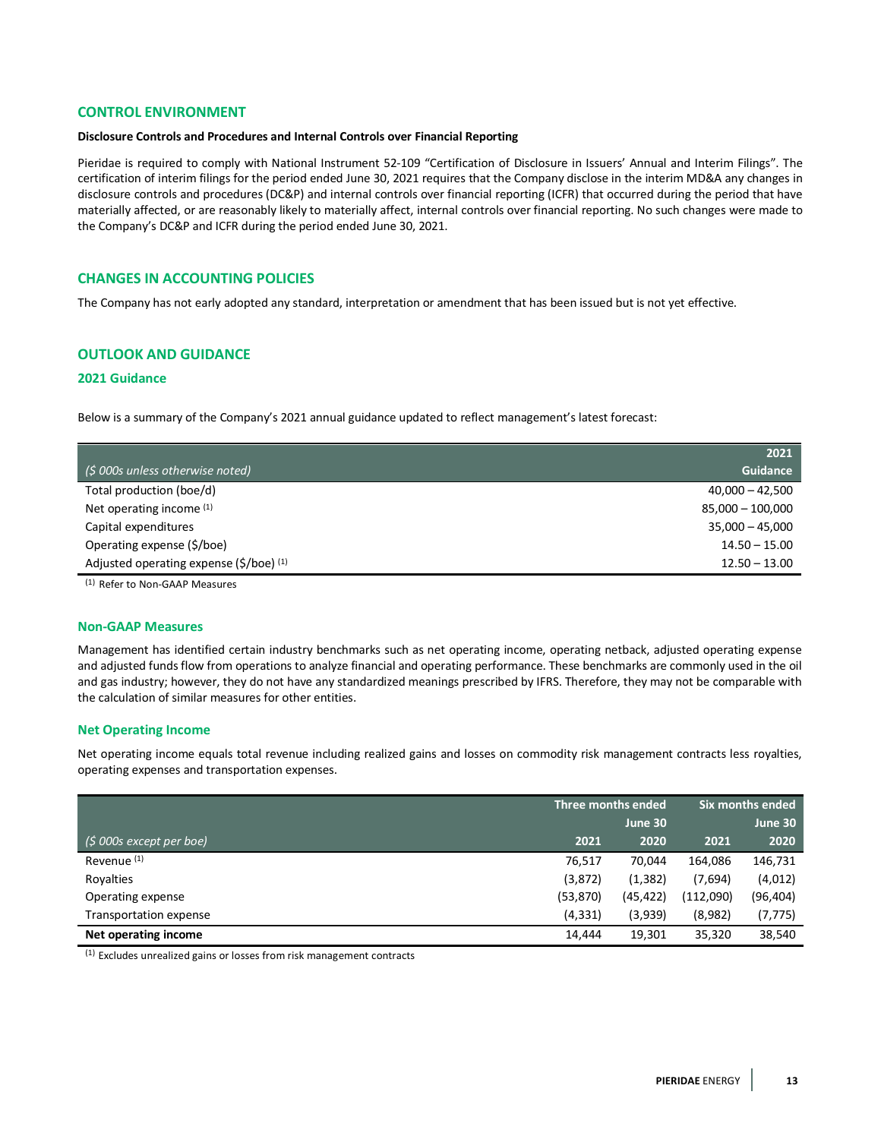# **CONTROL ENVIRONMENT**

#### **Disclosure Controls and Procedures and Internal Controls over Financial Reporting**

Pieridae is required to comply with National Instrument 52-109 "Certification of Disclosure in Issuers' Annual and Interim Filings". The certification of interim filings for the period ended June 30, 2021 requires that the Company disclose in the interim MD&A any changes in disclosure controls and procedures (DC&P) and internal controls over financial reporting (ICFR) that occurred during the period that have materially affected, or are reasonably likely to materially affect, internal controls over financial reporting. No such changes were made to the Company's DC&P and ICFR during the period ended June 30, 2021.

# **CHANGES IN ACCOUNTING POLICIES**

The Company has not early adopted any standard, interpretation or amendment that has been issued but is not yet effective.

# **OUTLOOK AND GUIDANCE**

# **2021 Guidance**

Below is a summary of the Company's 2021 annual guidance updated to reflect management's latest forecast:

|                                         | 2021               |
|-----------------------------------------|--------------------|
| (\$ 000s unless otherwise noted)        | Guidance           |
| Total production (boe/d)                | $40,000 - 42,500$  |
| Net operating income (1)                | $85,000 - 100,000$ |
| Capital expenditures                    | $35,000 - 45,000$  |
| Operating expense (\$/boe)              | $14.50 - 15.00$    |
| Adjusted operating expense (\$/boe) (1) | $12.50 - 13.00$    |

(1) Refer to Non-GAAP Measures

#### **Non-GAAP Measures**

Management has identified certain industry benchmarks such as net operating income, operating netback, adjusted operating expense and adjusted funds flow from operations to analyze financial and operating performance. These benchmarks are commonly used in the oil and gas industry; however, they do not have any standardized meanings prescribed by IFRS. Therefore, they may not be comparable with the calculation of similar measures for other entities.

#### **Net Operating Income**

Net operating income equals total revenue including realized gains and losses on commodity risk management contracts less royalties, operating expenses and transportation expenses.

|                          |           | Three months ended |           | Six months ended |
|--------------------------|-----------|--------------------|-----------|------------------|
|                          |           | June 30            |           | June 30          |
| $(5000s$ except per boe) | 2021      | 2020               | 2021      | 2020             |
| Revenue <sup>(1)</sup>   | 76,517    | 70.044             | 164,086   | 146,731          |
| Rovalties                | (3,872)   | (1, 382)           | (7,694)   | (4,012)          |
| Operating expense        | (53, 870) | (45, 422)          | (112,090) | (96, 404)        |
| Transportation expense   | (4, 331)  | (3,939)            | (8,982)   | (7, 775)         |
| Net operating income     | 14.444    | 19.301             | 35,320    | 38,540           |

(1) Excludes unrealized gains or losses from risk management contracts